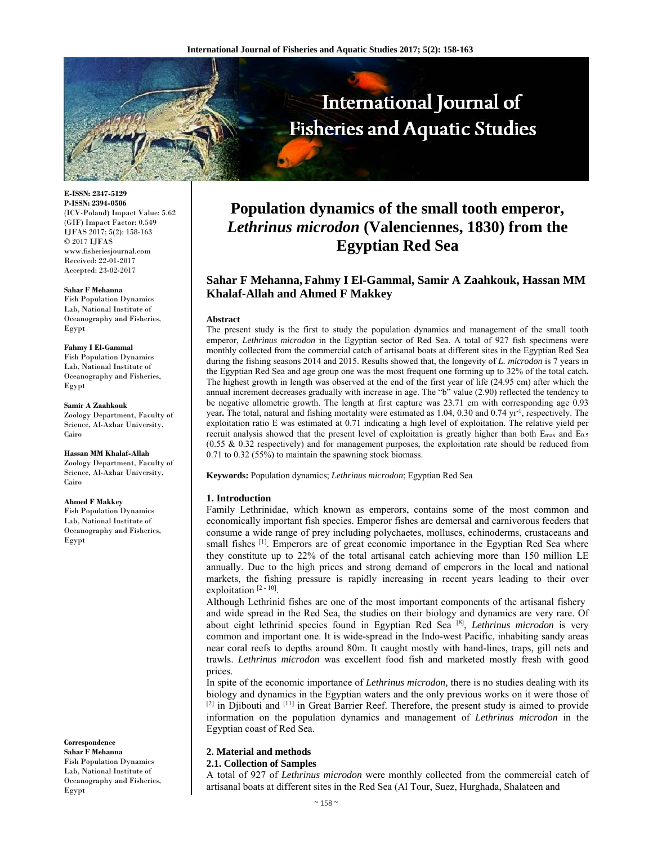

**E-ISSN: 2347-5129 P-ISSN: 2394-0506**  (ICV-Poland) Impact Value: 5.62 (GIF) Impact Factor: 0.549 IJFAS 2017; 5(2): 158-163  $\odot$  2017 IJFAS www.fisheriesjournal.com Received: 22-01-2017 Accepted: 23-02-2017

#### **Sahar F Mehanna**

Fish Population Dynamics Lab, National Institute of Oceanography and Fisheries, Egypt

#### **Fahmy I El-Gammal**

Fish Population Dynamics Lab, National Institute of Oceanography and Fisheries, Egypt

**Samir A Zaahkouk**  Zoology Department, Faculty of Science, Al-Azhar University, Cairo

**Hassan MM Khalaf-Allah**  Zoology Department, Faculty of Science, Al-Azhar University, Cairo

#### **Ahmed F Makkey**

Fish Population Dynamics Lab, National Institute of Oceanography and Fisheries, Egypt

**Correspondence Sahar F Mehanna**  Fish Population Dynamics Lab, National Institute of

Egypt

Oceanography and Fisheries,

# **Population dynamics of the small tooth emperor,**  *Lethrinus microdon* **(Valenciennes, 1830) from the Egyptian Red Sea**

# **Sahar F Mehanna, Fahmy I El-Gammal, Samir A Zaahkouk, Hassan MM Khalaf-Allah and Ahmed F Makkey**

#### **Abstract**

The present study is the first to study the population dynamics and management of the small tooth emperor, *Lethrinus microdon* in the Egyptian sector of Red Sea. A total of 927 fish specimens were monthly collected from the commercial catch of artisanal boats at different sites in the Egyptian Red Sea during the fishing seasons 2014 and 2015. Results showed that, the longevity of *L. microdon* is 7 years in the Egyptian Red Sea and age group one was the most frequent one forming up to 32% of the total catch**.**  The highest growth in length was observed at the end of the first year of life (24.95 cm) after which the annual increment decreases gradually with increase in age. The "b" value (2.90) reflected the tendency to be negative allometric growth. The length at first capture was 23.71 cm with corresponding age 0.93 year. The total, natural and fishing mortality were estimated as 1.04, 0.30 and 0.74 yr<sup>-1</sup>, respectively. The exploitation ratio E was estimated at 0.71 indicating a high level of exploitation. The relative yield per recruit analysis showed that the present level of exploitation is greatly higher than both E<sub>max</sub> and E<sub>0.5</sub> (0.55 & 0.32 respectively) and for management purposes, the exploitation rate should be reduced from 0.71 to 0.32 (55%) to maintain the spawning stock biomass.

**Keywords:** Population dynamics; *Lethrinus microdon*; Egyptian Red Sea

## **1. Introduction**

Family Lethrinidae, which known as emperors, contains some of the most common and economically important fish species. Emperor fishes are demersal and carnivorous feeders that consume a wide range of prey including polychaetes, molluscs, echinoderms, crustaceans and small fishes <sup>[1]</sup>. Emperors are of great economic importance in the Egyptian Red Sea where they constitute up to 22% of the total artisanal catch achieving more than 150 million LE annually. Due to the high prices and strong demand of emperors in the local and national markets, the fishing pressure is rapidly increasing in recent years leading to their over exploitation<sup>[2-10]</sup>.

Although Lethrinid fishes are one of the most important components of the artisanal fishery and wide spread in the Red Sea, the studies on their biology and dynamics are very rare. Of about eight lethrinid species found in Egyptian Red Sea [8], *Lethrinus microdon* is very common and important one. It is wide-spread in the Indo-west Pacific, inhabiting sandy areas near coral reefs to depths around 80m. It caught mostly with hand-lines, traps, gill nets and trawls. *Lethrinus microdon* was excellent food fish and marketed mostly fresh with good prices.

In spite of the economic importance of *Lethrinus microdon,* there is no studies dealing with its biology and dynamics in the Egyptian waters and the only previous works on it were those of <sup>[2]</sup> in Djibouti and <sup>[11]</sup> in Great Barrier Reef. Therefore, the present study is aimed to provide information on the population dynamics and management of *Lethrinus microdon* in the Egyptian coast of Red Sea.

# **2. Material and methods**

## **2.1. Collection of Samples**

A total of 927 of *Lethrinus microdon* were monthly collected from the commercial catch of artisanal boats at different sites in the Red Sea (Al Tour, Suez, Hurghada, Shalateen and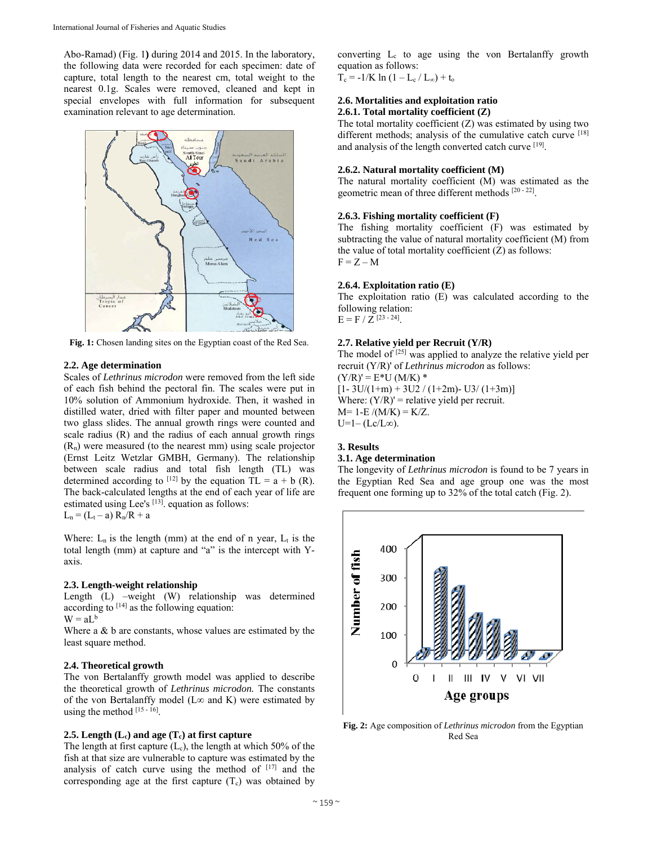Abo-Ramad) (Fig. 1**)** during 2014 and 2015. In the laboratory, the following data were recorded for each specimen: date of capture, total length to the nearest cm, total weight to the nearest 0.1g. Scales were removed, cleaned and kept in special envelopes with full information for subsequent examination relevant to age determination.



**Fig. 1:** Chosen landing sites on the Egyptian coast of the Red Sea.

## **2.2. Age determination**

Scales of *Lethrinus microdon* were removed from the left side of each fish behind the pectoral fin. The scales were put in 10% solution of Ammonium hydroxide. Then, it washed in distilled water, dried with filter paper and mounted between two glass slides. The annual growth rings were counted and scale radius (R) and the radius of each annual growth rings  $(R_n)$  were measured (to the nearest mm) using scale projector (Ernst Leitz Wetzlar GMBH, Germany). The relationship between scale radius and total fish length (TL) was determined according to <sup>[12]</sup> by the equation  $TL = a + b$  (R). The back-calculated lengths at the end of each year of life are estimated using Lee's <sup>[13]</sup>. equation as follows:  $L_n = (L_t - a) R_n / R + a$ 

Where:  $L_n$  is the length (mm) at the end of n year,  $L_t$  is the total length (mm) at capture and "a" is the intercept with Yaxis.

#### **2.3. Length-weight relationship**

Length (L) –weight (W) relationship was determined according to  $[14]$  as the following equation:  $W = aL^b$ 

Where a & b are constants, whose values are estimated by the least square method.

## **2.4. Theoretical growth**

The von Bertalanffy growth model was applied to describe the theoretical growth of *Lethrinus microdon.* The constants of the von Bertalanffy model (L∞ and K) were estimated by using the method [15 - 16].

## **2.5. Length (Lc) and age (Tc) at first capture**

The length at first capture  $(L_c)$ , the length at which 50% of the fish at that size are vulnerable to capture was estimated by the analysis of catch curve using the method of [17] and the corresponding age at the first capture  $(T_c)$  was obtained by

converting  $L_c$  to age using the von Bertalanffy growth equation as follows:

 $T_c = -1/K \ln (1 - L_c / L_{\infty}) + t_o$ 

## **2.6. Mortalities and exploitation ratio 2.6.1. Total mortality coefficient (Z)**

The total mortality coefficient  $(Z)$  was estimated by using two different methods; analysis of the cumulative catch curve [18] and analysis of the length converted catch curve [19].

## **2.6.2. Natural mortality coefficient (M)**

The natural mortality coefficient (M) was estimated as the geometric mean of three different methods [20 - 22].

## **2.6.3. Fishing mortality coefficient (F)**

The fishing mortality coefficient (F) was estimated by subtracting the value of natural mortality coefficient (M) from the value of total mortality coefficient  $(Z)$  as follows:  $F = Z - M$ 

## **2.6.4. Exploitation ratio (E)**

The exploitation ratio (E) was calculated according to the following relation:  $E = F / Z^{[23 - 24]}$ .

## **2.7. Relative yield per Recruit (Y/R)**

The model of  $[25]$  was applied to analyze the relative yield per recruit (Y/R)' of *Lethrinus microdon* as follows:  $(Y/R)' = E*U(M/K)$  $[1-3U/(1+m) + 3U2 / (1+2m) - U3 / (1+3m)]$ Where:  $(Y/R)'$  = relative yield per recruit.  $M= 1-E/(M/K) = K/Z.$  $U=1-(Lc/L\infty)$ .

#### **3. Results**

#### **3.1. Age determination**

The longevity of *Lethrinus microdon* is found to be 7 years in the Egyptian Red Sea and age group one was the most frequent one forming up to 32% of the total catch (Fig. 2).



**Fig. 2:** Age composition of *Lethrinus microdon* from the Egyptian Red Sea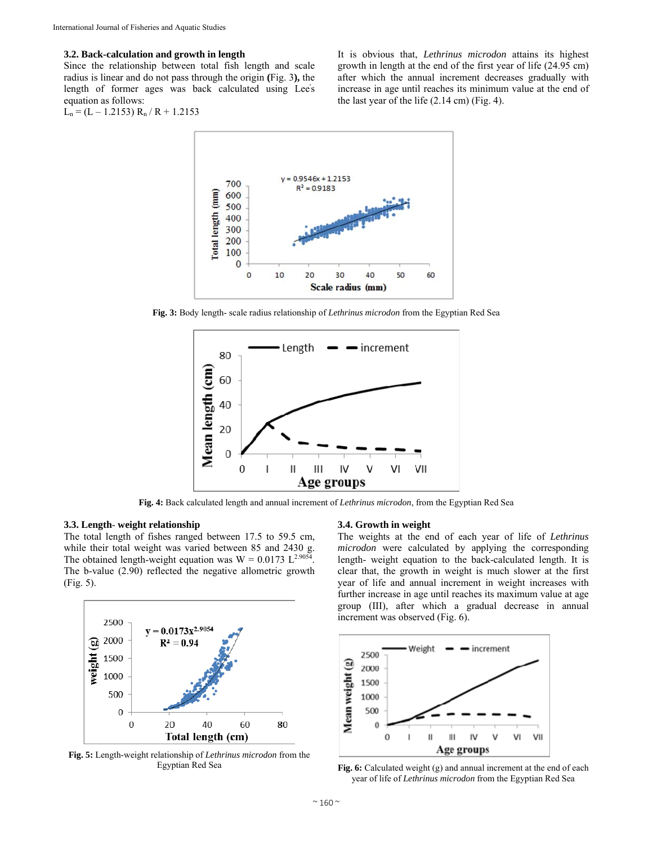## **3.2. Back-calculation and growth in length**

Since the relationship between total fish length and scale radius is linear and do not pass through the origin **(**Fig. 3**),** the length of former ages was back calculated using Lee' s equation as follows:

$$
L_n\,{=}\,(L-1.2153)\,R_n\,/\,R+1.2153
$$

It is obvious that, *Lethrinus microdon* attains its highest growth in length at the end of the first year of life (24.95 cm) after which the annual increment decreases gradually with increase in age until reaches its minimum value at the end of the last year of the life (2.14 cm) (Fig. 4).



**Fig. 3:** Body length- scale radius relationship of *Lethrinus microdon* from the Egyptian Red Sea



**Fig. 4:** Back calculated length and annual increment of *Lethrinus microdon*, from the Egyptian Red Sea

## **3.3. Length**- **weight relationship**

The total length of fishes ranged between 17.5 to 59.5 cm, while their total weight was varied between 85 and 2430 g. The obtained length-weight equation was  $W = 0.0173 \text{ L}^{2.9054}$ . The b-value (2.90) reflected the negative allometric growth (Fig. 5).



**Fig. 5:** Length-weight relationship of *Lethrinus microdon* from the Egyptian Red Sea

#### **3.4. Growth in weight**

The weights at the end of each year of life of *Lethrinus microdon* were calculated by applying the corresponding length- weight equation to the back-calculated length. It is clear that, the growth in weight is much slower at the first year of life and annual increment in weight increases with further increase in age until reaches its maximum value at age group (III), after which a gradual decrease in annual increment was observed (Fig. 6).



**Fig. 6:** Calculated weight (g) and annual increment at the end of each year of life of *Lethrinus microdon* from the Egyptian Red Sea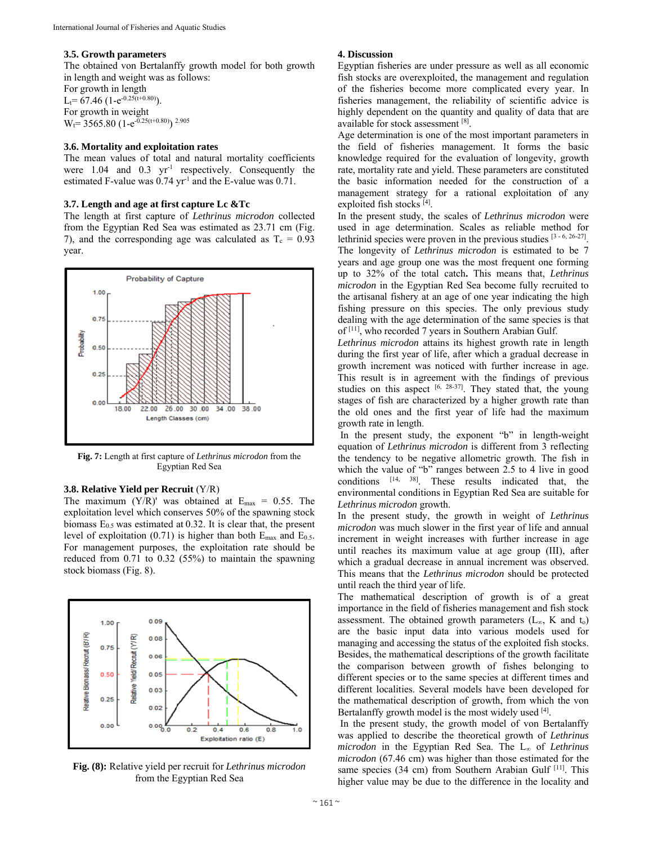## **3.5. Growth parameters**

The obtained von Bertalanffy growth model for both growth in length and weight was as follows:

For growth in length  $L_t$ = 67.46 (1-e<sup>-0.25(t+0.80)</sup>) For growth in weight  $W_t$ = 3565.80 (1-e<sup>-0.25(t+0.80)</sup>) <sup>2.905</sup>

## **3.6. Mortality and exploitation rates**

The mean values of total and natural mortality coefficients were  $1.04$  and  $0.3$  yr<sup>-1</sup> respectively. Consequently the estimated F-value was 0.74 yr<sup>-1</sup> and the E-value was 0.71.

## **3.7. Length and age at first capture Lc &Tc**

The length at first capture of *Lethrinus microdon* collected from the Egyptian Red Sea was estimated as 23.71 cm (Fig. 7), and the corresponding age was calculated as  $T_c = 0.93$ year.



**Fig. 7:** Length at first capture of *Lethrinus microdon* from the Egyptian Red Sea

### **3.8. Relative Yield per Recruit** (Y/R)

The maximum  $(Y/R)$ ' was obtained at  $E_{max} = 0.55$ . The exploitation level which conserves 50% of the spawning stock biomass  $E_{0.5}$  was estimated at 0.32. It is clear that, the present level of exploitation (0.71) is higher than both  $E_{\text{max}}$  and  $E_{0.5}$ . For management purposes, the exploitation rate should be reduced from 0.71 to 0.32 (55%) to maintain the spawning stock biomass (Fig. 8).



**Fig. (8):** Relative yield per recruit for *Lethrinus microdon* from the Egyptian Red Sea

## **4. Discussion**

Egyptian fisheries are under pressure as well as all economic fish stocks are overexploited, the management and regulation of the fisheries become more complicated every year. In fisheries management, the reliability of scientific advice is highly dependent on the quantity and quality of data that are available for stock assessment [8].

Age determination is one of the most important parameters in the field of fisheries management. It forms the basic knowledge required for the evaluation of longevity, growth rate, mortality rate and yield. These parameters are constituted the basic information needed for the construction of a management strategy for a rational exploitation of any exploited fish stocks [4].

In the present study, the scales of *Lethrinus microdon* were used in age determination. Scales as reliable method for lethrinid species were proven in the previous studies [3 - 6, 26-27]. The longevity of *Lethrinus microdon* is estimated to be 7 years and age group one was the most frequent one forming up to 32% of the total catch**.** This means that, *Lethrinus microdon* in the Egyptian Red Sea become fully recruited to the artisanal fishery at an age of one year indicating the high fishing pressure on this species. The only previous study dealing with the age determination of the same species is that of [11], who recorded 7 years in Southern Arabian Gulf.

*Lethrinus microdon* attains its highest growth rate in length during the first year of life, after which a gradual decrease in growth increment was noticed with further increase in age. This result is in agreement with the findings of previous studies on this aspect  $[6, 28-37]$ . They stated that, the young stages of fish are characterized by a higher growth rate than the old ones and the first year of life had the maximum growth rate in length.

 In the present study, the exponent "b" in length-weight equation of *Lethrinus microdon* is different from 3 reflecting the tendency to be negative allometric growth. The fish in which the value of "b" ranges between 2.5 to 4 live in good conditions [14, 38]. These results indicated that, the environmental conditions in Egyptian Red Sea are suitable for *Lethrinus microdon* growth.

In the present study, the growth in weight of *Lethrinus microdon* was much slower in the first year of life and annual increment in weight increases with further increase in age until reaches its maximum value at age group (III), after which a gradual decrease in annual increment was observed. This means that the *Lethrinus microdon* should be protected until reach the third year of life.

The mathematical description of growth is of a great importance in the field of fisheries management and fish stock assessment. The obtained growth parameters ( $L_{\infty}$ , K and  $t_0$ ) are the basic input data into various models used for managing and accessing the status of the exploited fish stocks. Besides, the mathematical descriptions of the growth facilitate the comparison between growth of fishes belonging to different species or to the same species at different times and different localities. Several models have been developed for the mathematical description of growth, from which the von Bertalanffy growth model is the most widely used [4].

 In the present study, the growth model of von Bertalanffy was applied to describe the theoretical growth of *Lethrinus microdon* in the Egyptian Red Sea. The L∞ of *Lethrinus microdon* (67.46 cm) was higher than those estimated for the same species (34 cm) from Southern Arabian Gulf [11]. This higher value may be due to the difference in the locality and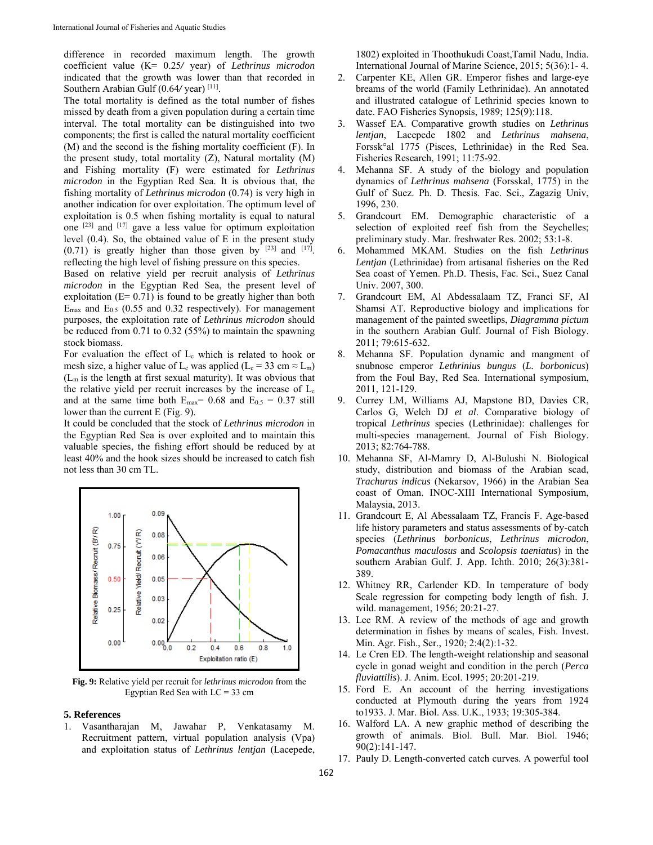difference in recorded maximum length. The growth coefficient value (K= 0.25*/* year) of *Lethrinus microdon* indicated that the growth was lower than that recorded in Southern Arabian Gulf (0.64/ year) [11].

The total mortality is defined as the total number of fishes missed by death from a given population during a certain time interval. The total mortality can be distinguished into two components; the first is called the natural mortality coefficient (M) and the second is the fishing mortality coefficient (F). In the present study, total mortality (Z), Natural mortality (M) and Fishing mortality (F) were estimated for *Lethrinus microdon* in the Egyptian Red Sea. It is obvious that, the fishing mortality of *Lethrinus microdon* (0.74) is very high in another indication for over exploitation. The optimum level of exploitation is 0.5 when fishing mortality is equal to natural one [23] and [17] gave a less value for optimum exploitation level (0.4). So, the obtained value of E in the present study  $(0.71)$  is greatly higher than those given by  $[23]$  and  $[17]$ . reflecting the high level of fishing pressure on this species.

Based on relative yield per recruit analysis of *Lethrinus microdon* in the Egyptian Red Sea, the present level of exploitation  $(E= 0.71)$  is found to be greatly higher than both  $E_{\text{max}}$  and  $E_{0.5}$  (0.55 and 0.32 respectively). For management purposes, the exploitation rate of *Lethrinus microdon* should be reduced from 0.71 to 0.32 (55%) to maintain the spawning stock biomass.

For evaluation the effect of  $L_c$  which is related to hook or mesh size, a higher value of L<sub>c</sub> was applied (L<sub>c</sub> = 33 cm  $\approx$  L<sub>m</sub>)  $(L_m)$  is the length at first sexual maturity). It was obvious that the relative yield per recruit increases by the increase of  $L_c$ and at the same time both  $E_{\text{max}}= 0.68$  and  $E_{0.5} = 0.37$  still lower than the current E (Fig. 9).

It could be concluded that the stock of *Lethrinus microdon* in the Egyptian Red Sea is over exploited and to maintain this valuable species, the fishing effort should be reduced by at least 40% and the hook sizes should be increased to catch fish not less than 30 cm TL.



**Fig. 9:** Relative yield per recruit for *lethrinus microdon* from the Egyptian Red Sea with LC = 33 cm

### **5. References**

1. Vasantharajan M, Jawahar P, Venkatasamy M. Recruitment pattern, virtual population analysis (Vpa) and exploitation status of *Lethrinus lentjan* (Lacepede, 1802) exploited in Thoothukudi Coast,Tamil Nadu, India. International Journal of Marine Science, 2015; 5(36):1- 4.

- 2. Carpenter KE, Allen GR. Emperor fishes and large-eye breams of the world (Family Lethrinidae). An annotated and illustrated catalogue of Lethrinid species known to date. FAO Fisheries Synopsis, 1989; 125(9):118.
- 3. Wassef EA. Comparative growth studies on *Lethrinus lentjan*, Lacepede 1802 and *Lethrinus mahsena*, Forssk°al 1775 (Pisces, Lethrinidae) in the Red Sea. Fisheries Research, 1991; 11:75-92.
- 4. Mehanna SF. A study of the biology and population dynamics of *Lethrinus mahsena* (Forsskal, 1775) in the Gulf of Suez. Ph. D. Thesis. Fac. Sci., Zagazig Univ, 1996, 230.
- 5. Grandcourt EM. Demographic characteristic of a selection of exploited reef fish from the Seychelles; preliminary study. Mar. freshwater Res. 2002; 53:1-8.
- 6. Mohammed MKAM. Studies on the fish *Lethrinus Lentjan* (Lethrinidae) from artisanal fisheries on the Red Sea coast of Yemen. Ph.D. Thesis, Fac. Sci., Suez Canal Univ. 2007, 300.
- 7. Grandcourt EM, Al Abdessalaam TZ, Franci SF, Al Shamsi AT. Reproductive biology and implications for management of the painted sweetlips, *Diagramma pictum* in the southern Arabian Gulf. Journal of Fish Biology. 2011; 79:615-632.
- Mehanna SF. Population dynamic and mangment of snubnose emperor *Lethrinius bungus* (*L. borbonicus*) from the Foul Bay, Red Sea. International symposium, 2011, 121-129.
- 9. Currey LM, Williams AJ, Mapstone BD, Davies CR, Carlos G, Welch DJ *et al*. Comparative biology of tropical *Lethrinus* species (Lethrinidae): challenges for multi-species management. Journal of Fish Biology. 2013; 82:764-788.
- 10. Mehanna SF, Al-Mamry D, Al-Bulushi N. Biological study, distribution and biomass of the Arabian scad, *Trachurus indicus* (Nekarsov, 1966) in the Arabian Sea coast of Oman. INOC-XIII International Symposium, Malaysia, 2013.
- 11. Grandcourt E, Al Abessalaam TZ, Francis F. Age-based life history parameters and status assessments of by-catch species (*Lethrinus borbonicus*, *Lethrinus microdon*, *Pomacanthus maculosus* and *Scolopsis taeniatus*) in the southern Arabian Gulf. J. App. Ichth. 2010; 26(3):381- 389.
- 12. Whitney RR, Carlender KD. In temperature of body Scale regression for competing body length of fish. J. wild. management, 1956; 20:21-27.
- 13. Lee RM. A review of the methods of age and growth determination in fishes by means of scales, Fish. Invest. Min. Agr. Fish., Ser., 1920; 2:4(2):1-32.
- 14. Le Cren ED. The length-weight relationship and seasonal cycle in gonad weight and condition in the perch (*Perca fluviattilis*). J. Anim. Ecol. 1995; 20:201-219.
- 15. Ford E. An account of the herring investigations conducted at Plymouth during the years from 1924 to1933. J. Mar. Biol. Ass. U.K., 1933; 19:305-384.
- 16. Walford LA. A new graphic method of describing the growth of animals. Biol. Bull. Mar. Biol. 1946; 90(2):141-147.
- 17. Pauly D. Length-converted catch curves. A powerful tool